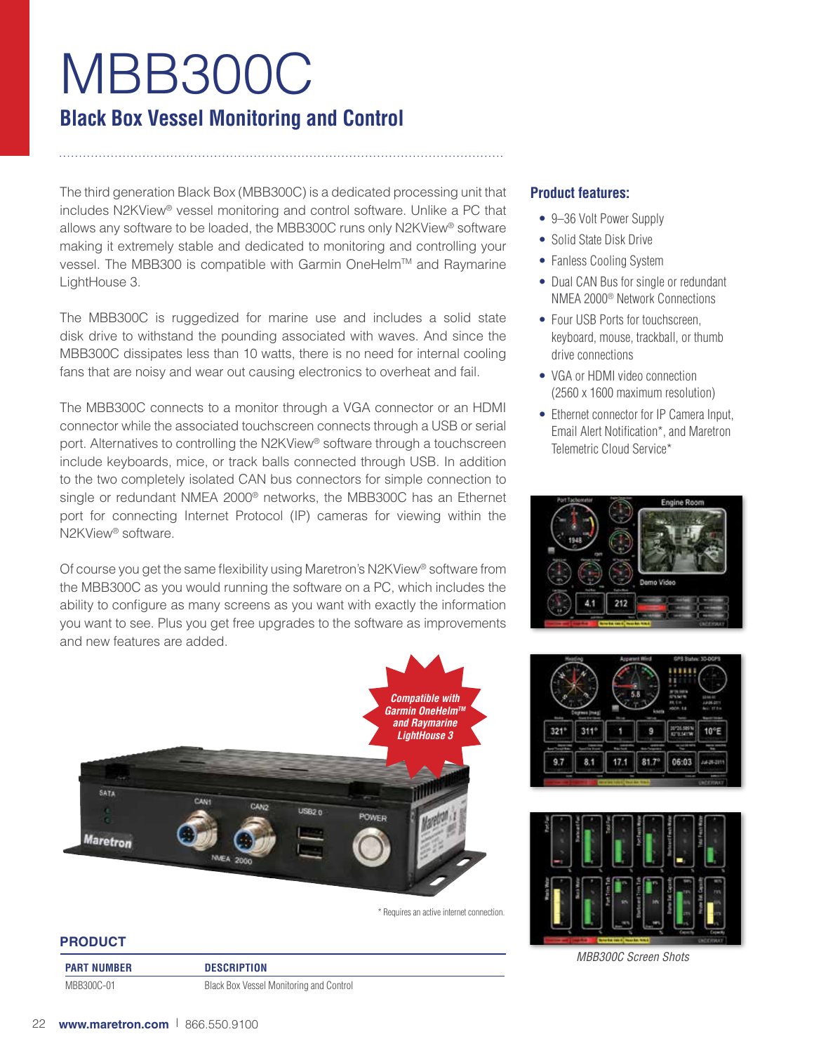# MBB300C **Black Box Vessel Monitoring and Control**

The third generation Black Box (MBB300C) is a dedicated processing unit that includes N2KView® vessel monitoring and control software. Unlike a PC that allows any software to be loaded, the MBB300C runs only N2KView® software making it extremely stable and dedicated to monitoring and controlling your vessel. The MBB300 is compatible with Garmin OneHelm™ and Raymarine LightHouse 3.

The MBB300C is ruggedized for marine use and includes a solid state disk drive to withstand the pounding associated with waves. And since the MBB300C dissipates less than 10 watts, there is no need for internal cooling fans that are noisy and wear out causing electronics to overheat and fail.

The MBB300C connects to a monitor through a VGA connector or an HDMI connector while the associated touchscreen connects through a USB or serial port. Alternatives to controlling the N2KView® software through a touchscreen include keyboards, mice, or track balls connected through USB. In addition to the two completely isolated CAN bus connectors for simple connection to single or redundant NMEA 2000® networks, the MBB300C has an Ethernet port for connecting Internet Protocol (IP) cameras for viewing within the N2KView® software.

Of course you get the same flexibility using Maretron's N2KView® software from the MBB300C as you would running the software on a PC, which includes the ability to configure as many screens as you want with exactly the information you want to see. Plus you get free upgrades to the software as improvements and new features are added.



\* Requires an active internet connection.

## **PRODUCT**

**PART NUMBER DESCRIPTION**

MBB300C-01 Black Box Vessel Monitoring and Control

# **Product features:**

- 9-36 Volt Power Supply
- Solid State Disk Drive
- Fanless Cooling System
- Dual CAN Bus for single or redundant NMEA 2000® Network Connections
- Four USB Ports for touchscreen. keyboard, mouse, trackball, or thumb drive connections
- VGA or HDMI video connection (2560 x 1600 maximum resolution)
- Ethernet connector for IP Camera Input, Email Alert Notification\*, and Maretron Telemetric Cloud Service\*







*MBB300C Screen Shots*